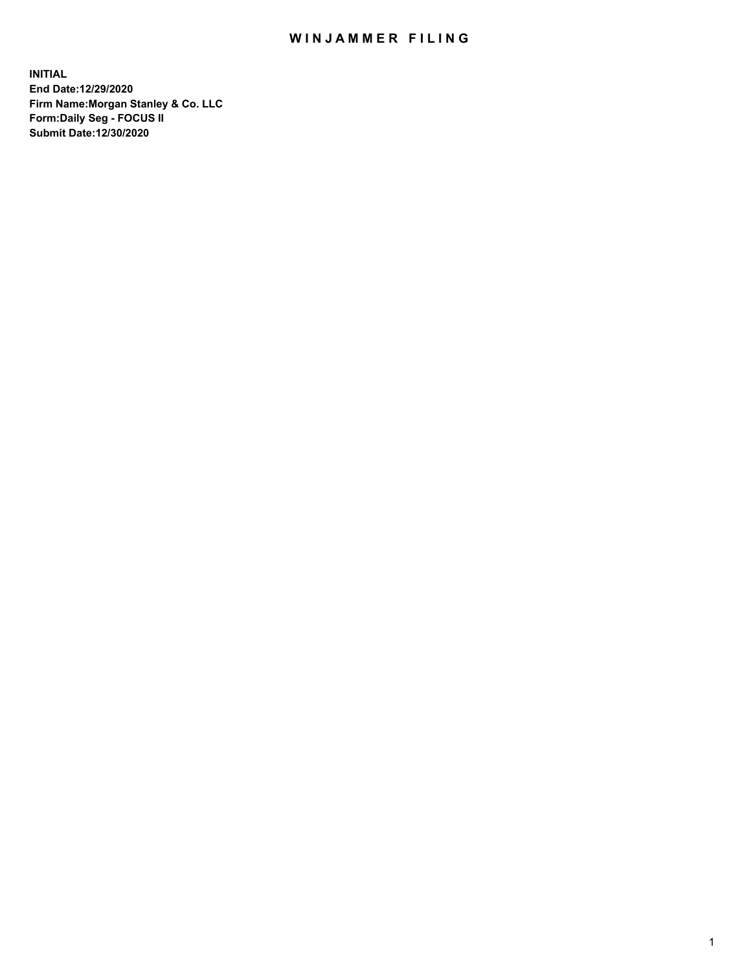## WIN JAMMER FILING

**INITIAL End Date:12/29/2020 Firm Name:Morgan Stanley & Co. LLC Form:Daily Seg - FOCUS II Submit Date:12/30/2020**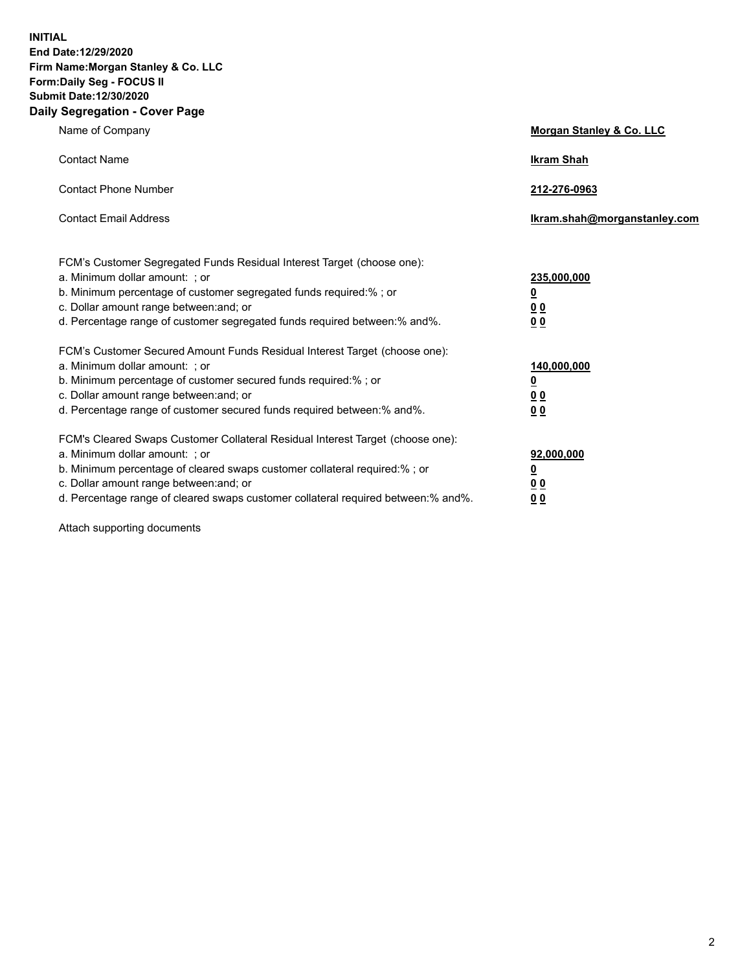**INITIAL End Date:12/29/2020 Firm Name:Morgan Stanley & Co. LLC Form:Daily Seg - FOCUS II Submit Date:12/30/2020 Daily Segregation - Cover Page**

| Name of Company                                                                                                                                                                                                                                                                                                                | Morgan Stanley & Co. LLC                                |
|--------------------------------------------------------------------------------------------------------------------------------------------------------------------------------------------------------------------------------------------------------------------------------------------------------------------------------|---------------------------------------------------------|
| <b>Contact Name</b>                                                                                                                                                                                                                                                                                                            | <b>Ikram Shah</b>                                       |
| <b>Contact Phone Number</b>                                                                                                                                                                                                                                                                                                    | 212-276-0963                                            |
| <b>Contact Email Address</b>                                                                                                                                                                                                                                                                                                   | Ikram.shah@morganstanley.com                            |
| FCM's Customer Segregated Funds Residual Interest Target (choose one):<br>a. Minimum dollar amount: ; or<br>b. Minimum percentage of customer segregated funds required:% ; or<br>c. Dollar amount range between: and; or<br>d. Percentage range of customer segregated funds required between: % and %.                       | 235,000,000<br><u>0</u><br><u>00</u><br><u>00</u>       |
| FCM's Customer Secured Amount Funds Residual Interest Target (choose one):<br>a. Minimum dollar amount: ; or<br>b. Minimum percentage of customer secured funds required:% ; or<br>c. Dollar amount range between: and; or<br>d. Percentage range of customer secured funds required between:% and%.                           | 140,000,000<br><u>0</u><br><u>0 0</u><br>0 <sub>0</sub> |
| FCM's Cleared Swaps Customer Collateral Residual Interest Target (choose one):<br>a. Minimum dollar amount: ; or<br>b. Minimum percentage of cleared swaps customer collateral required:% ; or<br>c. Dollar amount range between: and; or<br>d. Percentage range of cleared swaps customer collateral required between:% and%. | 92,000,000<br><u>0</u><br><u>00</u><br>00               |

Attach supporting documents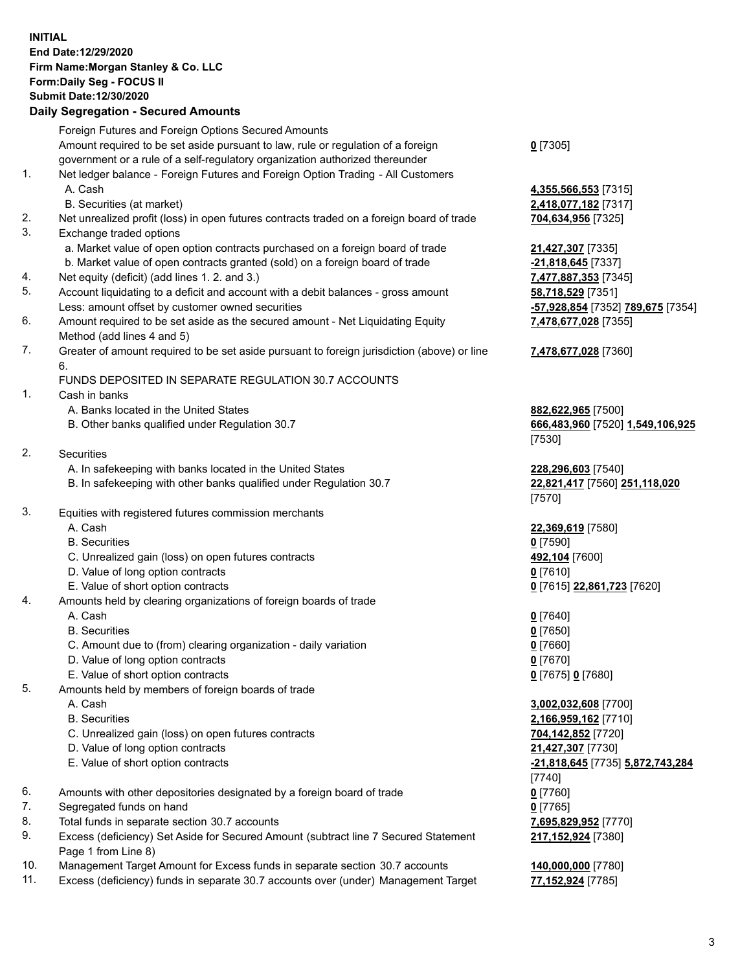## **INITIAL End Date:12/29/2020 Firm Name:Morgan Stanley & Co. LLC Form:Daily Seg - FOCUS II Submit Date:12/30/2020**

## **Daily Segregation - Secured Amounts**

Foreign Futures and Foreign Options Secured Amounts Amount required to be set aside pursuant to law, rule or regulation of a foreign government or a rule of a self-regulatory organization authorized thereunder 1. Net ledger balance - Foreign Futures and Foreign Option Trading - All Customers A. Cash **4,355,566,553** [7315] B. Securities (at market) **2,418,077,182** [7317] 2. Net unrealized profit (loss) in open futures contracts traded on a foreign board of trade **704,634,956** [7325] 3. Exchange traded options a. Market value of open option contracts purchased on a foreign board of trade **21,427,307** [7335] b. Market value of open contracts granted (sold) on a foreign board of trade **-21,818,645** [7337] 4. Net equity (deficit) (add lines 1. 2. and 3.) **7,477,887,353** [7345] 5. Account liquidating to a deficit and account with a debit balances - gross amount **58,718,529** [7351] Less: amount offset by customer owned securities **-57,928,854** [7352] **789,675** [7354] 6. Amount required to be set aside as the secured amount - Net Liquidating Equity Method (add lines 4 and 5) 7. Greater of amount required to be set aside pursuant to foreign jurisdiction (above) or line 6. FUNDS DEPOSITED IN SEPARATE REGULATION 30.7 ACCOUNTS 1. Cash in banks A. Banks located in the United States **882,622,965** [7500] B. Other banks qualified under Regulation 30.7 **666,483,960** [7520] **1,549,106,925** 2. Securities A. In safekeeping with banks located in the United States **228,296,603** [7540] B. In safekeeping with other banks qualified under Regulation 30.7 **22,821,417** [7560] **251,118,020** 3. Equities with registered futures commission merchants A. Cash **22,369,619** [7580] B. Securities **0** [7590] C. Unrealized gain (loss) on open futures contracts **492,104** [7600] D. Value of long option contracts **0** [7610] E. Value of short option contracts **0** [7615] **22,861,723** [7620] 4. Amounts held by clearing organizations of foreign boards of trade A. Cash **0** [7640] B. Securities **0** [7650] C. Amount due to (from) clearing organization - daily variation **0** [7660] D. Value of long option contracts **0** [7670] E. Value of short option contracts **0** [7675] **0** [7680] 5. Amounts held by members of foreign boards of trade A. Cash **3,002,032,608** [7700] B. Securities **2,166,959,162** [7710] C. Unrealized gain (loss) on open futures contracts **704,142,852** [7720] D. Value of long option contracts **21,427,307** [7730] E. Value of short option contracts **-21,818,645** [7735] **5,872,743,284** 6. Amounts with other depositories designated by a foreign board of trade **0** [7760] 7. Segregated funds on hand **0** [7765] 8. Total funds in separate section 30.7 accounts **7,695,829,952** [7770] 9. Excess (deficiency) Set Aside for Secured Amount (subtract line 7 Secured Statement

- Page 1 from Line 8)
- 10. Management Target Amount for Excess funds in separate section 30.7 accounts **140,000,000** [7780]
- 11. Excess (deficiency) funds in separate 30.7 accounts over (under) Management Target **77,152,924** [7785]

**0** [7305]

**7,478,677,028** [7355]

## **7,478,677,028** [7360]

[7530]

[7570]

[7740] **217,152,924** [7380]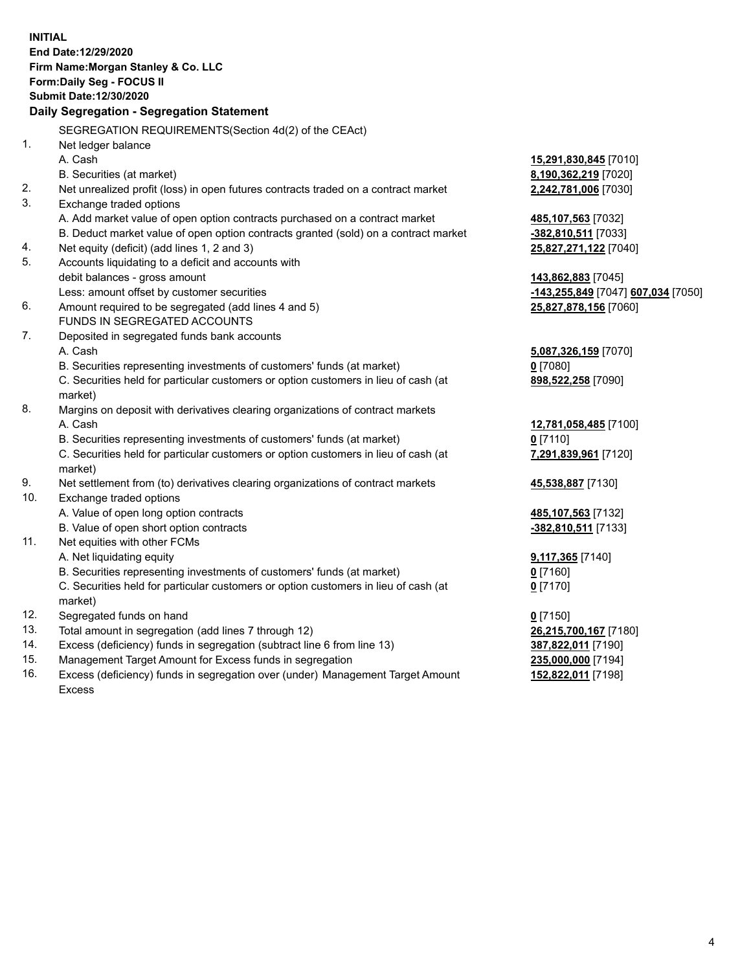| <b>INITIAL</b> | End Date:12/29/2020                                                                            |                                    |
|----------------|------------------------------------------------------------------------------------------------|------------------------------------|
|                | Firm Name: Morgan Stanley & Co. LLC<br>Form: Daily Seg - FOCUS II                              |                                    |
|                | Submit Date: 12/30/2020                                                                        |                                    |
|                | Daily Segregation - Segregation Statement                                                      |                                    |
|                | SEGREGATION REQUIREMENTS(Section 4d(2) of the CEAct)                                           |                                    |
| 1.             | Net ledger balance                                                                             |                                    |
|                | A. Cash                                                                                        | 15,291,830,845 [7010]              |
|                | B. Securities (at market)                                                                      | 8,190,362,219 [7020]               |
| 2.             | Net unrealized profit (loss) in open futures contracts traded on a contract market             | 2,242,781,006 [7030]               |
| 3.             | Exchange traded options                                                                        |                                    |
|                | A. Add market value of open option contracts purchased on a contract market                    | 485,107,563 [7032]                 |
|                | B. Deduct market value of open option contracts granted (sold) on a contract market            | -382,810,511 [7033]                |
| 4.             | Net equity (deficit) (add lines 1, 2 and 3)                                                    | 25,827,271,122 [7040]              |
| 5.             | Accounts liquidating to a deficit and accounts with                                            |                                    |
|                | debit balances - gross amount                                                                  | 143,862,883 [7045]                 |
|                | Less: amount offset by customer securities                                                     | -143,255,849 [7047] 607,034 [7050] |
| 6.             | Amount required to be segregated (add lines 4 and 5)                                           | 25,827,878,156 [7060]              |
|                | FUNDS IN SEGREGATED ACCOUNTS                                                                   |                                    |
| 7.             | Deposited in segregated funds bank accounts                                                    |                                    |
|                | A. Cash                                                                                        | 5,087,326,159 [7070]               |
|                | B. Securities representing investments of customers' funds (at market)                         | $0$ [7080]                         |
|                | C. Securities held for particular customers or option customers in lieu of cash (at<br>market) | 898,522,258 [7090]                 |
| 8.             | Margins on deposit with derivatives clearing organizations of contract markets                 |                                    |
|                | A. Cash                                                                                        | 12,781,058,485 [7100]              |
|                | B. Securities representing investments of customers' funds (at market)                         | $0$ [7110]                         |
|                | C. Securities held for particular customers or option customers in lieu of cash (at<br>market) | 7,291,839,961 [7120]               |
| 9.             | Net settlement from (to) derivatives clearing organizations of contract markets                | 45,538,887 [7130]                  |
| 10.            | Exchange traded options                                                                        |                                    |
|                | A. Value of open long option contracts                                                         | 485,107,563 [7132]                 |
|                | B. Value of open short option contracts                                                        | -382,810,511 [7133]                |
| 11.            | Net equities with other FCMs                                                                   |                                    |
|                | A. Net liquidating equity                                                                      | 9,117,365 [7140]                   |
|                | B. Securities representing investments of customers' funds (at market)                         | 0 [7160]                           |
|                | C. Securities held for particular customers or option customers in lieu of cash (at<br>market) | $0$ [7170]                         |
| 12.            | Segregated funds on hand                                                                       | $0$ [7150]                         |
| 13.            | Total amount in segregation (add lines 7 through 12)                                           | 26,215,700,167 [7180]              |
| 14.            | Excess (deficiency) funds in segregation (subtract line 6 from line 13)                        | 387,822,011 [7190]                 |
| 15.            | Management Target Amount for Excess funds in segregation                                       | 235,000,000 [7194]                 |
|                |                                                                                                |                                    |

16. Excess (deficiency) funds in segregation over (under) Management Target Amount Excess

**152,822,011** [7198]